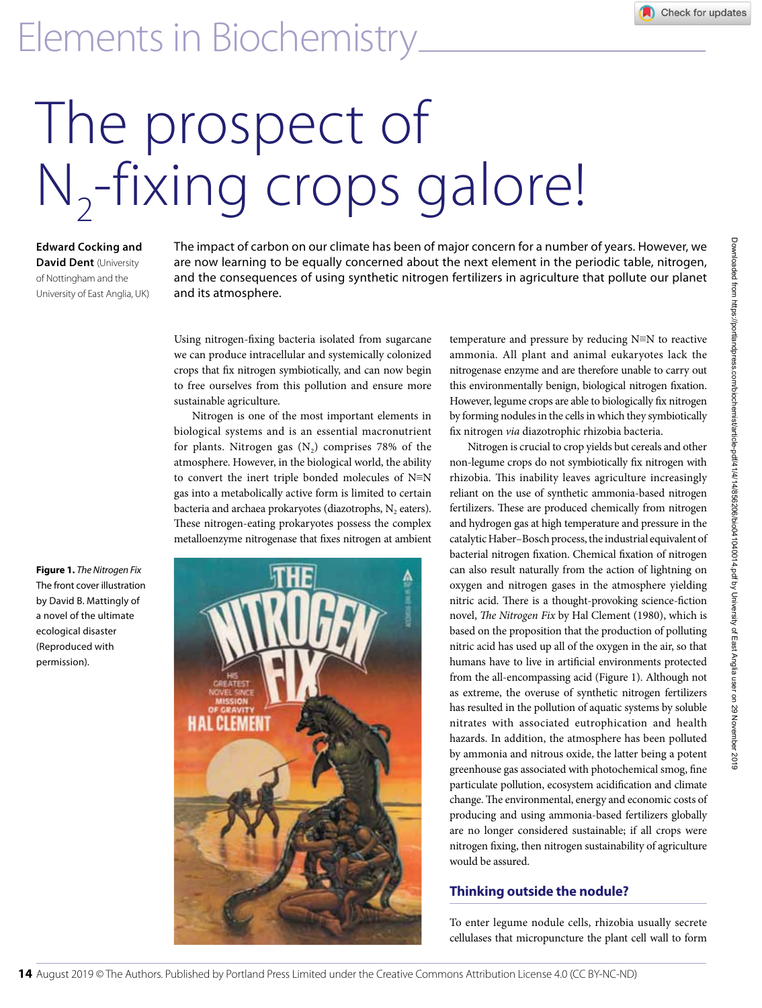# The prospect of N<sub>2</sub>-fixing crops galore!

**Edward Cocking and David Dent** (University of Nottingham and the University of East Anglia, UK) The impact of carbon on our climate has been of major concern for a number of years. However, we are now learning to be equally concerned about the next element in the periodic table, nitrogen, and the consequences of using synthetic nitrogen fertilizers in agriculture that pollute our planet and its atmosphere.

Using nitrogen-fixing bacteria isolated from sugarcane we can produce intracellular and systemically colonized crops that fix nitrogen symbiotically, and can now begin to free ourselves from this pollution and ensure more sustainable agriculture.

Nitrogen is one of the most important elements in biological systems and is an essential macronutrient for plants. Nitrogen gas  $(N_2)$  comprises 78% of the atmosphere. However, in the biological world, the ability to convert the inert triple bonded molecules of N≡N gas into a metabolically active form is limited to certain bacteria and archaea prokaryotes (diazotrophs,  $N_2$  eaters). These nitrogen-eating prokaryotes possess the complex metalloenzyme nitrogenase that fixes nitrogen at ambient

**Figure 1.** *The Nitrogen Fix* The front cover illustration by David B. Mattingly of a novel of the ultimate ecological disaster (Reproduced with permission).



temperature and pressure by reducing N≡N to reactive ammonia. All plant and animal eukaryotes lack the nitrogenase enzyme and are therefore unable to carry out this environmentally benign, biological nitrogen fixation. However, legume crops are able to biologically fix nitrogen by forming nodules in the cells in which they symbiotically fix nitrogen *via* diazotrophic rhizobia bacteria.

Nitrogen is crucial to crop yields but cereals and other non-legume crops do not symbiotically fix nitrogen with rhizobia. This inability leaves agriculture increasingly reliant on the use of synthetic ammonia-based nitrogen fertilizers. These are produced chemically from nitrogen and hydrogen gas at high temperature and pressure in the catalytic Haber–Bosch process, the industrial equivalent of bacterial nitrogen fixation. Chemical fixation of nitrogen can also result naturally from the action of lightning on oxygen and nitrogen gases in the atmosphere yielding nitric acid. There is a thought-provoking science-fiction novel, *The Nitrogen Fix* by Hal Clement (1980), which is based on the proposition that the production of polluting nitric acid has used up all of the oxygen in the air, so that humans have to live in artificial environments protected from the all-encompassing acid (Figure 1). Although not as extreme, the overuse of synthetic nitrogen fertilizers has resulted in the pollution of aquatic systems by soluble nitrates with associated eutrophication and health hazards. In addition, the atmosphere has been polluted by ammonia and nitrous oxide, the latter being a potent greenhouse gas associated with photochemical smog, fine particulate pollution, ecosystem acidification and climate change. The environmental, energy and economic costs of producing and using ammonia-based fertilizers globally are no longer considered sustainable; if all crops were nitrogen fixing, then nitrogen sustainability of agriculture would be assured.

### **Thinking outside the nodule?**

To enter legume nodule cells, rhizobia usually secrete cellulases that micropuncture the plant cell wall to form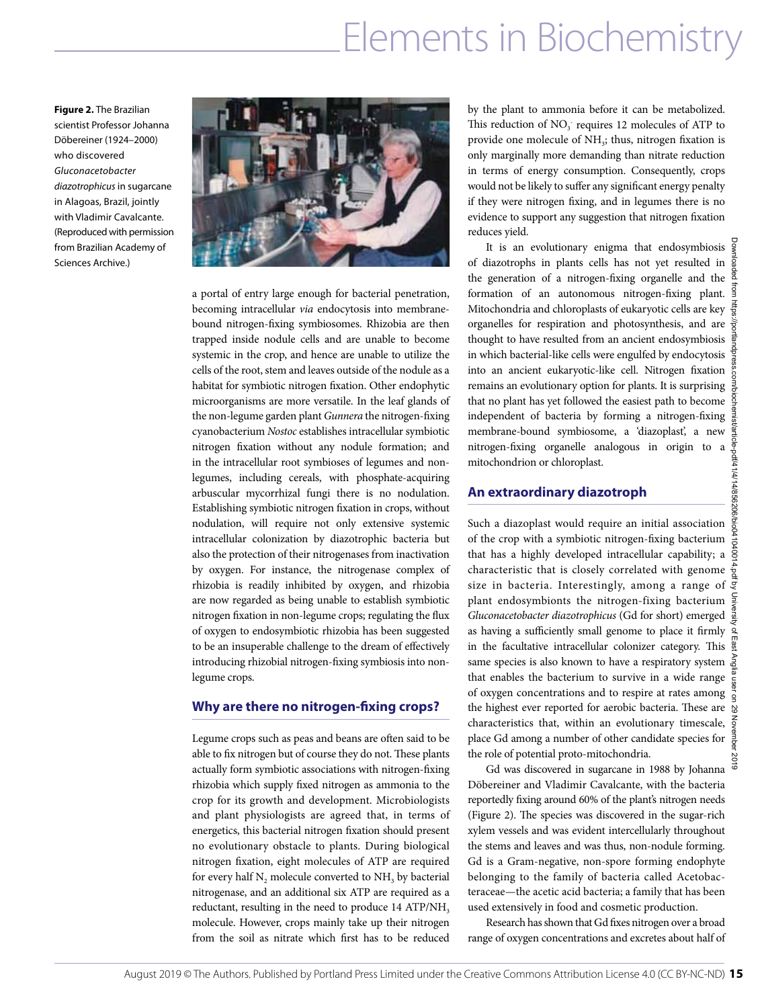**Figure 2.** The Brazilian scientist Professor Johanna Döbereiner (1924–2000) who discovered *Gluconacetobacter diazotrophicus* in sugarcane in Alagoas, Brazil, jointly with Vladimir Cavalcante. (Reproduced with permission from Brazilian Academy of Sciences Archive.)



a portal of entry large enough for bacterial penetration, becoming intracellular *via* endocytosis into membranebound nitrogen-fixing symbiosomes. Rhizobia are then trapped inside nodule cells and are unable to become systemic in the crop, and hence are unable to utilize the cells of the root, stem and leaves outside of the nodule as a habitat for symbiotic nitrogen fixation. Other endophytic microorganisms are more versatile. In the leaf glands of the non-legume garden plant *Gunnera* the nitrogen-fixing cyanobacterium *Nostoc* establishes intracellular symbiotic nitrogen fixation without any nodule formation; and in the intracellular root symbioses of legumes and nonlegumes, including cereals, with phosphate-acquiring arbuscular mycorrhizal fungi there is no nodulation. Establishing symbiotic nitrogen fixation in crops, without nodulation, will require not only extensive systemic intracellular colonization by diazotrophic bacteria but also the protection of their nitrogenases from inactivation by oxygen. For instance, the nitrogenase complex of rhizobia is readily inhibited by oxygen, and rhizobia are now regarded as being unable to establish symbiotic nitrogen fixation in non-legume crops; regulating the flux of oxygen to endosymbiotic rhizobia has been suggested to be an insuperable challenge to the dream of effectively introducing rhizobial nitrogen-fixing symbiosis into nonlegume crops.

#### **Why are there no nitrogen-fixing crops?**

Legume crops such as peas and beans are often said to be able to fix nitrogen but of course they do not. These plants actually form symbiotic associations with nitrogen-fixing rhizobia which supply fixed nitrogen as ammonia to the crop for its growth and development. Microbiologists and plant physiologists are agreed that, in terms of energetics, this bacterial nitrogen fixation should present no evolutionary obstacle to plants. During biological nitrogen fixation, eight molecules of ATP are required for every half  $N$ , molecule converted to  $NH<sub>3</sub>$  by bacterial nitrogenase, and an additional six ATP are required as a reductant, resulting in the need to produce 14 ATP/NH<sub>3</sub> molecule. However, crops mainly take up their nitrogen from the soil as nitrate which first has to be reduced by the plant to ammonia before it can be metabolized. This reduction of  $NO<sub>3</sub>$  requires 12 molecules of ATP to provide one molecule of NH<sub>3</sub>; thus, nitrogen fixation is only marginally more demanding than nitrate reduction in terms of energy consumption. Consequently, crops would not be likely to suffer any significant energy penalty if they were nitrogen fixing, and in legumes there is no evidence to support any suggestion that nitrogen fixation reduces yield.

It is an evolutionary enigma that endosymbiosis  $\frac{5}{8}$ of diazotrophs in plants cells has not yet resulted in the generation of a nitrogen-fixing organelle and the formation of an autonomous nitrogen-fixing plant. Mitochondria and chloroplasts of eukaryotic cells are key organelles for respiration and photosynthesis, and are  $\frac{5}{8}$ thought to have resulted from an ancient endosymbiosis  $\frac{1}{2}$ in which bacterial-like cells were engulfed by endocytosis  $\frac{1}{2}$ into an ancient eukaryotic-like cell. Nitrogen fixation remains an evolutionary option for plants. It is surprising that no plant has yet followed the easiest path to become independent of bacteria by forming a nitrogen-fixing  $\frac{3}{2}$ membrane-bound symbiosome, a 'diazoplast', a new nitrogen-fixing organelle analogous in origin to a mitochondrion or chloroplast.

#### **An extraordinary diazotroph**

Such a diazoplast would require an initial association of the crop with a symbiotic nitrogen-fixing bacterium  $\frac{8}{6}$ that has a highly developed intracellular capability; a  $\hat{\bar{S}}$ characteristic that is closely correlated with genome  $\frac{1}{2}$ size in bacteria. Interestingly, among a range of plant endosymbionts the nitrogen-fixing bacterium *Gluconacetobacter diazotrophicus* (Gd for short) emerged as having a sufficiently small genome to place it firmly in the facultative intracellular colonizer category. This same species is also known to have a respiratory system  $\frac{2}{5}$ that enables the bacterium to survive in a wide range  $\frac{e}{\frac{2}{3}}$ of oxygen concentrations and to respire at rates among  $\frac{8}{9}$ the highest ever reported for aerobic bacteria. These are  $\frac{1}{8}$ characteristics that, within an evolutionary timescale,  $\frac{2}{9}$ place Gd among a number of other candidate species for the role of potential proto-mitochondria.

Gd was discovered in sugarcane in 1988 by Johanna Döbereiner and Vladimir Cavalcante, with the bacteria reportedly fixing around 60% of the plant's nitrogen needs (Figure 2). The species was discovered in the sugar-rich xylem vessels and was evident intercellularly throughout the stems and leaves and was thus, non-nodule forming. Gd is a Gram-negative, non-spore forming endophyte belonging to the family of bacteria called Acetobacteraceae—the acetic acid bacteria; a family that has been used extensively in food and cosmetic production.

Research has shown that Gd fixes nitrogen over a broad range of oxygen concentrations and excretes about half of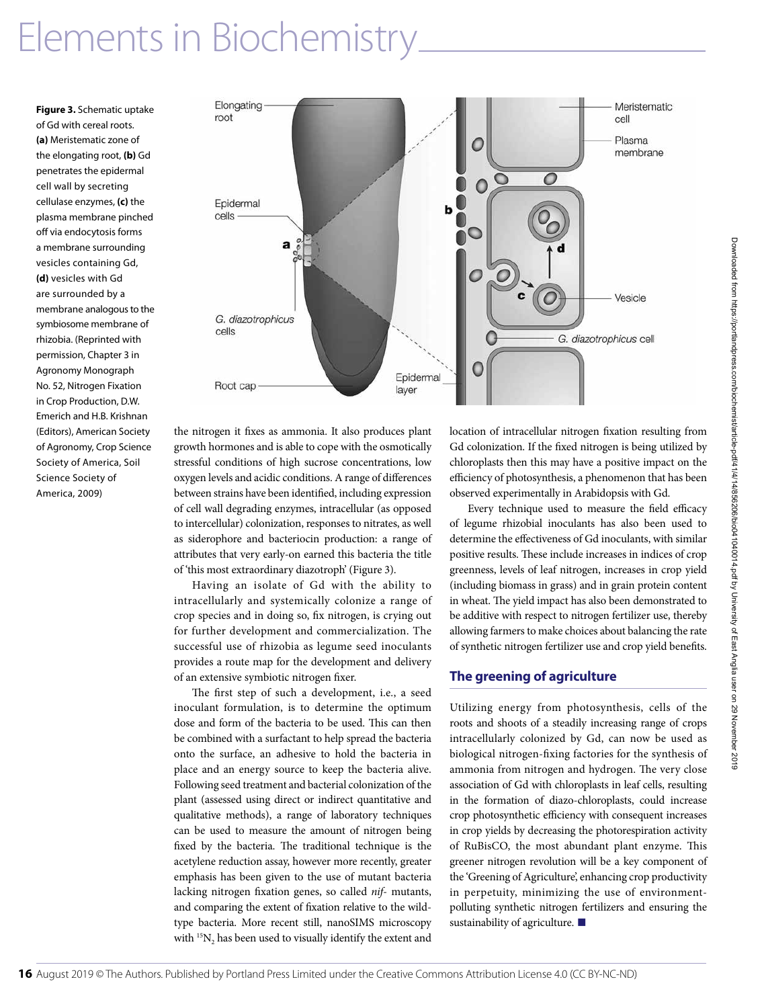**Figure 3.** Schematic uptake of Gd with cereal roots. **(a)** Meristematic zone of the elongating root, **(b)** Gd penetrates the epidermal cell wall by secreting cellulase enzymes, **(c)** the plasma membrane pinched off via endocytosis forms a membrane surrounding vesicles containing Gd, **(d)** vesicles with Gd are surrounded by a membrane analogous to the symbiosome membrane of rhizobia. (Reprinted with permission, Chapter 3 in Agronomy Monograph No. 52, Nitrogen Fixation in Crop Production, D.W. Emerich and H.B. Krishnan (Editors), American Society of Agronomy, Crop Science Society of America, Soil Science Society of America, 2009)



the nitrogen it fixes as ammonia. It also produces plant growth hormones and is able to cope with the osmotically stressful conditions of high sucrose concentrations, low oxygen levels and acidic conditions. A range of differences between strains have been identified, including expression of cell wall degrading enzymes, intracellular (as opposed to intercellular) colonization, responses to nitrates, as well as siderophore and bacteriocin production: a range of attributes that very early-on earned this bacteria the title of 'this most extraordinary diazotroph' (Figure 3).

Having an isolate of Gd with the ability to intracellularly and systemically colonize a range of crop species and in doing so, fix nitrogen, is crying out for further development and commercialization. The successful use of rhizobia as legume seed inoculants provides a route map for the development and delivery of an extensive symbiotic nitrogen fixer.

The first step of such a development, i.e., a seed inoculant formulation, is to determine the optimum dose and form of the bacteria to be used. This can then be combined with a surfactant to help spread the bacteria onto the surface, an adhesive to hold the bacteria in place and an energy source to keep the bacteria alive. Following seed treatment and bacterial colonization of the plant (assessed using direct or indirect quantitative and qualitative methods), a range of laboratory techniques can be used to measure the amount of nitrogen being fixed by the bacteria. The traditional technique is the acetylene reduction assay, however more recently, greater emphasis has been given to the use of mutant bacteria lacking nitrogen fixation genes, so called *nif*- mutants, and comparing the extent of fixation relative to the wildtype bacteria. More recent still, nanoSIMS microscopy with  $15N_2$  has been used to visually identify the extent and

location of intracellular nitrogen fixation resulting from Gd colonization. If the fixed nitrogen is being utilized by chloroplasts then this may have a positive impact on the efficiency of photosynthesis, a phenomenon that has been observed experimentally in Arabidopsis with Gd.

Every technique used to measure the field efficacy of legume rhizobial inoculants has also been used to determine the effectiveness of Gd inoculants, with similar positive results. These include increases in indices of crop greenness, levels of leaf nitrogen, increases in crop yield (including biomass in grass) and in grain protein content in wheat. The yield impact has also been demonstrated to be additive with respect to nitrogen fertilizer use, thereby allowing farmers to make choices about balancing the rate of synthetic nitrogen fertilizer use and crop yield benefits.

#### **The greening of agriculture**

Utilizing energy from photosynthesis, cells of the roots and shoots of a steadily increasing range of crops intracellularly colonized by Gd, can now be used as biological nitrogen-fixing factories for the synthesis of ammonia from nitrogen and hydrogen. The very close association of Gd with chloroplasts in leaf cells, resulting in the formation of diazo-chloroplasts, could increase crop photosynthetic efficiency with consequent increases in crop yields by decreasing the photorespiration activity of RuBisCO, the most abundant plant enzyme. This greener nitrogen revolution will be a key component of the 'Greening of Agriculture', enhancing crop productivity in perpetuity, minimizing the use of environmentpolluting synthetic nitrogen fertilizers and ensuring the sustainability of agriculture. **■**